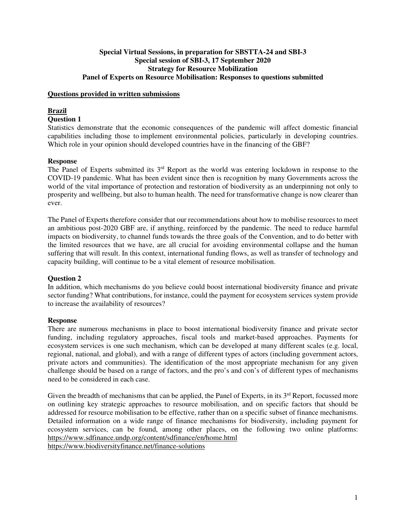### **Special Virtual Sessions, in preparation for SBSTTA-24 and SBI-3 Special session of SBI-3, 17 September 2020 Strategy for Resource Mobilization Panel of Experts on Resource Mobilisation: Responses to questions submitted**

#### **Questions provided in written submissions**

# **Brazil**

### **Question 1**

Statistics demonstrate that the economic consequences of the pandemic will affect domestic financial capabilities including those to implement environmental policies, particularly in developing countries. Which role in your opinion should developed countries have in the financing of the GBF?

### **Response**

The Panel of Experts submitted its 3<sup>rd</sup> Report as the world was entering lockdown in response to the COVID-19 pandemic. What has been evident since then is recognition by many Governments across the world of the vital importance of protection and restoration of biodiversity as an underpinning not only to prosperity and wellbeing, but also to human health. The need for transformative change is now clearer than ever.

The Panel of Experts therefore consider that our recommendations about how to mobilise resources to meet an ambitious post-2020 GBF are, if anything, reinforced by the pandemic. The need to reduce harmful impacts on biodiversity, to channel funds towards the three goals of the Convention, and to do better with the limited resources that we have, are all crucial for avoiding environmental collapse and the human suffering that will result. In this context, international funding flows, as well as transfer of technology and capacity building, will continue to be a vital element of resource mobilisation.

# **Question 2**

In addition, which mechanisms do you believe could boost international biodiversity finance and private sector funding? What contributions, for instance, could the payment for ecosystem services system provide to increase the availability of resources?

### **Response**

There are numerous mechanisms in place to boost international biodiversity finance and private sector funding, including regulatory approaches, fiscal tools and market-based approaches. Payments for ecosystem services is one such mechanism, which can be developed at many different scales (e.g. local, regional, national, and global), and with a range of different types of actors (including government actors, private actors and communities). The identification of the most appropriate mechanism for any given challenge should be based on a range of factors, and the pro's and con's of different types of mechanisms need to be considered in each case.

Given the breadth of mechanisms that can be applied, the Panel of Experts, in its  $3<sup>rd</sup>$  Report, focussed more on outlining key strategic approaches to resource mobilisation, and on specific factors that should be addressed for resource mobilisation to be effective, rather than on a specific subset of finance mechanisms. Detailed information on a wide range of finance mechanisms for biodiversity, including payment for ecosystem services, can be found, among other places, on the following two online platforms: https://www.sdfinance.undp.org/content/sdfinance/en/home.html

https://www.biodiversityfinance.net/finance-solutions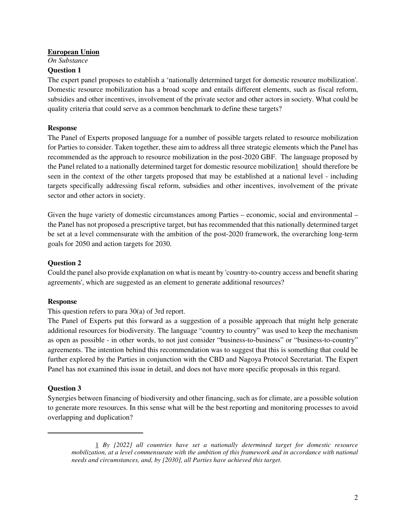#### **European Union**

*On Substance* 

### **Question 1**

The expert panel proposes to establish a 'nationally determined target for domestic resource mobilization'. Domestic resource mobilization has a broad scope and entails different elements, such as fiscal reform, subsidies and other incentives, involvement of the private sector and other actors in society. What could be quality criteria that could serve as a common benchmark to define these targets?

### **Response**

The Panel of Experts proposed language for a number of possible targets related to resource mobilization for Parties to consider. Taken together, these aim to address all three strategic elements which the Panel has recommended as the approach to resource mobilization in the post-2020 GBF. The language proposed by the Panel related to a nationally determined target for domestic resource mobilization1 should therefore be seen in the context of the other targets proposed that may be established at a national level - including targets specifically addressing fiscal reform, subsidies and other incentives, involvement of the private sector and other actors in society.

Given the huge variety of domestic circumstances among Parties – economic, social and environmental – the Panel has not proposed a prescriptive target, but has recommended that this nationally determined target be set at a level commensurate with the ambition of the post-2020 framework, the overarching long-term goals for 2050 and action targets for 2030.

### **Question 2**

Could the panel also provide explanation on what is meant by 'country-to-country access and benefit sharing agreements', which are suggested as an element to generate additional resources?

### **Response**

### This question refers to para 30(a) of 3rd report.

The Panel of Experts put this forward as a suggestion of a possible approach that might help generate additional resources for biodiversity. The language "country to country" was used to keep the mechanism as open as possible - in other words, to not just consider "business-to-business" or "business-to-country" agreements. The intention behind this recommendation was to suggest that this is something that could be further explored by the Parties in conjunction with the CBD and Nagoya Protocol Secretariat. The Expert Panel has not examined this issue in detail, and does not have more specific proposals in this regard.

# **Question 3**

Synergies between financing of biodiversity and other financing, such as for climate, are a possible solution to generate more resources. In this sense what will be the best reporting and monitoring processes to avoid overlapping and duplication?

<sup>1</sup> *By [2022] all countries have set a nationally determined target for domestic resource mobilization, at a level commensurate with the ambition of this framework and in accordance with national needs and circumstances, and, by [2030], all Parties have achieved this target.*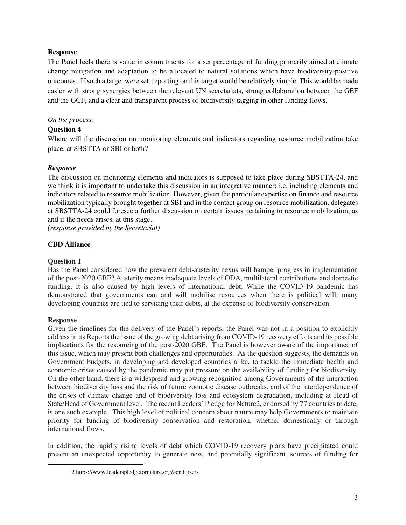### **Response**

The Panel feels there is value in commitments for a set percentage of funding primarily aimed at climate change mitigation and adaptation to be allocated to natural solutions which have biodiversity-positive outcomes. If such a target were set, reporting on this target would be relatively simple. This would be made easier with strong synergies between the relevant UN secretariats, strong collaboration between the GEF and the GCF, and a clear and transparent process of biodiversity tagging in other funding flows.

### *On the process:*

# **Question 4**

Where will the discussion on monitoring elements and indicators regarding resource mobilization take place, at SBSTTA or SBI or both?

# *Response*

The discussion on monitoring elements and indicators is supposed to take place during SBSTTA-24, and we think it is important to undertake this discussion in an integrative manner; i.e. including elements and indicators related to resource mobilization. However, given the particular expertise on finance and resource mobilization typically brought together at SBI and in the contact group on resource mobilization, delegates at SBSTTA-24 could foresee a further discussion on certain issues pertaining to resource mobilization, as and if the needs arises, at this stage.

*(response provided by the Secretariat)* 

# **CBD Alliance**

### **Question 1**

Has the Panel considered how the prevalent debt-austerity nexus will hamper progress in implementation of the post-2020 GBF? Austerity means inadequate levels of ODA, multilateral contributions and domestic funding. It is also caused by high levels of international debt. While the COVID-19 pandemic has demonstrated that governments can and will mobilise resources when there is political will, many developing countries are tied to servicing their debts, at the expense of biodiversity conservation.

### **Response**

Given the timelines for the delivery of the Panel's reports, the Panel was not in a position to explicitly address in its Reports the issue of the growing debt arising from COVID-19 recovery efforts and its possible implications for the resourcing of the post-2020 GBF. The Panel is however aware of the importance of this issue, which may present both challenges and opportunities. As the question suggests, the demands on Government budgets, in developing and developed countries alike, to tackle the immediate health and economic crises caused by the pandemic may put pressure on the availability of funding for biodiversity. On the other hand, there is a widespread and growing recognition among Governments of the interaction between biodiversity loss and the risk of future zoonotic disease outbreaks, and of the interdependence of the crises of climate change and of biodiversity loss and ecosystem degradation, including at Head of State/Head of Government level. The recent Leaders' Pledge for Nature2, endorsed by 77 countries to date, is one such example. This high level of political concern about nature may help Governments to maintain priority for funding of biodiversity conservation and restoration, whether domestically or through international flows.

In addition, the rapidly rising levels of debt which COVID-19 recovery plans have precipitated could present an unexpected opportunity to generate new, and potentially significant, sources of funding for

<sup>2</sup> https://www.leaderspledgefornature.org/#endorsers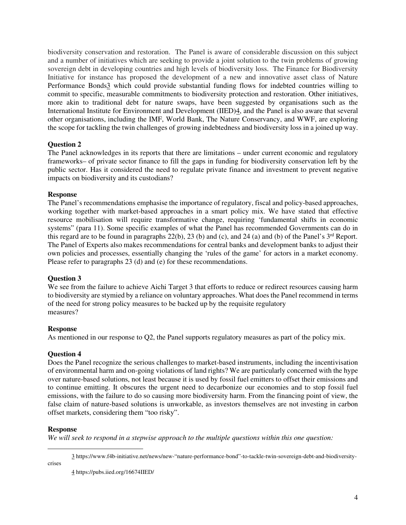biodiversity conservation and restoration. The Panel is aware of considerable discussion on this subject and a number of initiatives which are seeking to provide a joint solution to the twin problems of growing sovereign debt in developing countries and high levels of biodiversity loss. The Finance for Biodiversity Initiative for instance has proposed the development of a new and innovative asset class of Nature Performance Bonds3 which could provide substantial funding flows for indebted countries willing to commit to specific, measurable commitments to biodiversity protection and restoration. Other initiatives, more akin to traditional debt for nature swaps, have been suggested by organisations such as the International Institute for Environment and Development (IIED)4, and the Panel is also aware that several other organisations, including the IMF, World Bank, The Nature Conservancy, and WWF, are exploring the scope for tackling the twin challenges of growing indebtedness and biodiversity loss in a joined up way.

### **Question 2**

The Panel acknowledges in its reports that there are limitations – under current economic and regulatory frameworks– of private sector finance to fill the gaps in funding for biodiversity conservation left by the public sector. Has it considered the need to regulate private finance and investment to prevent negative impacts on biodiversity and its custodians?

### **Response**

The Panel's recommendations emphasise the importance of regulatory, fiscal and policy-based approaches, working together with market-based approaches in a smart policy mix. We have stated that effective resource mobilisation will require transformative change, requiring 'fundamental shifts in economic systems" (para 11). Some specific examples of what the Panel has recommended Governments can do in this regard are to be found in paragraphs  $22(b)$ ,  $23(b)$  and (c), and  $24(a)$  and (b) of the Panel's  $3<sup>rd</sup>$  Report. The Panel of Experts also makes recommendations for central banks and development banks to adjust their own policies and processes, essentially changing the 'rules of the game' for actors in a market economy. Please refer to paragraphs 23 (d) and (e) for these recommendations.

### **Question 3**

We see from the failure to achieve Aichi Target 3 that efforts to reduce or redirect resources causing harm to biodiversity are stymied by a reliance on voluntary approaches. What does the Panel recommend in terms of the need for strong policy measures to be backed up by the requisite regulatory measures?

### **Response**

As mentioned in our response to Q2, the Panel supports regulatory measures as part of the policy mix.

### **Question 4**

Does the Panel recognize the serious challenges to market-based instruments, including the incentivisation of environmental harm and on-going violations of land rights? We are particularly concerned with the hype over nature-based solutions, not least because it is used by fossil fuel emitters to offset their emissions and to continue emitting. It obscures the urgent need to decarbonize our economies and to stop fossil fuel emissions, with the failure to do so causing more biodiversity harm. From the financing point of view, the false claim of nature-based solutions is unworkable, as investors themselves are not investing in carbon offset markets, considering them "too risky".

#### **Response**

crises

*We will seek to respond in a stepwise approach to the multiple questions within this one question:* 

3 https://www.f4b-initiative.net/news/new-"nature-performance-bond"-to-tackle-twin-sovereign-debt-and-biodiversity-

4 https://pubs.iied.org/16674IIED/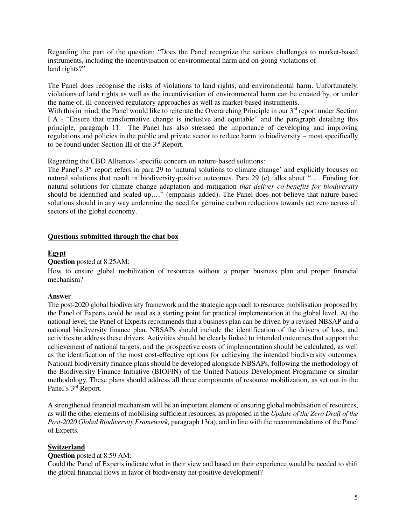Regarding the part of the question: "Does the Panel recognize the serious challenges to market-based instruments, including the incentivisation of environmental harm and on-going violations of land rights?"

The Panel does recognise the risks of violations to land rights, and environmental harm. Unfortunately, violations of land rights as well as the incentivisation of environmental harm can be created by, or under the name of, ill-conceived regulatory approaches as well as market-based instruments.

With this in mind, the Panel would like to reiterate the Overarching Principle in our  $3<sup>rd</sup>$  report under Section I A - "Ensure that transformative change is inclusive and equitable" and the paragraph detailing this principle, paragraph 11. The Panel has also stressed the importance of developing and improving regulations and policies in the public and private sector to reduce harm to biodiversity – most specifically to be found under Section III of the 3rd Report.

Regarding the CBD Alliances' specific concern on nature-based solutions:

The Panel's 3<sup>rd</sup> report refers in para 29 to 'natural solutions to climate change' and explicitly focuses on natural solutions that result in biodiversity-positive outcomes. Para 29 (c) talks about "…. Funding for natural solutions for climate change adaptation and mitigation *that deliver co-benefits for biodiversity*  should be identified and scaled up,…" (emphasis added). The Panel does not believe that nature-based solutions should in any way undermine the need for genuine carbon reductions towards net zero across all sectors of the global economy.

### **Questions submitted through the chat box**

### **Egypt**

#### **Question** posted at 8:25AM:

How to ensure global mobilization of resources without a proper business plan and proper financial mechanism?

#### **Answer**

The post-2020 global biodiversity framework and the strategic approach to resource mobilisation proposed by the Panel of Experts could be used as a starting point for practical implementation at the global level. At the national level, the Panel of Experts recommends that a business plan can be driven by a revised NBSAP and a national biodiversity finance plan. NBSAPs should include the identification of the drivers of loss, and activities to address these drivers. Activities should be clearly linked to intended outcomes that support the achievement of national targets, and the prospective costs of implementation should be calculated, as well as the identification of the most cost-effective options for achieving the intended biodiversity outcomes. National biodiversity finance plans should be developed alongside NBSAPs, following the methodology of the Biodiversity Finance Initiative (BIOFIN) of the United Nations Development Programme or similar methodology. These plans should address all three components of resource mobilization, as set out in the Panel's 3rd Report.

A strengthened financial mechanism will be an important element of ensuring global mobilisation of resources, as will the other elements of mobilising sufficient resources, as proposed in the *Update of the Zero Draft of the Post-2020 Global Biodiversity Framework,* paragraph 13(a), and in line with the recommendations of the Panel of Experts.

### **Switzerland**

### **Question** posted at 8:59 AM:

Could the Panel of Experts indicate what in their view and based on their experience would be needed to shift the global financial flows in favor of biodiversity net-positive development?